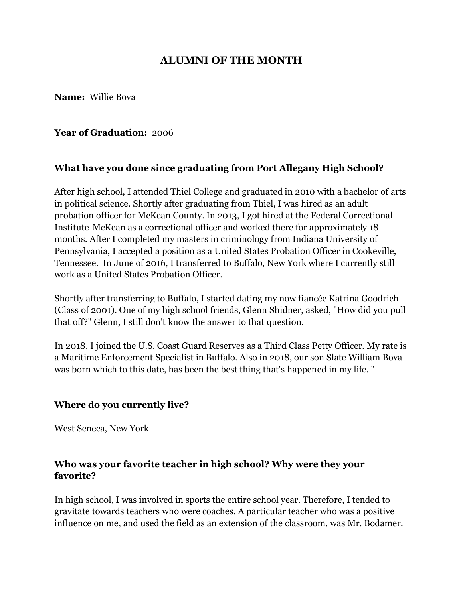# **ALUMNI OF THE MONTH**

**Name:** Willie Bova

#### **Year of Graduation:** 2006

### **What have you done since graduating from Port Allegany High School?**

After high school, I attended Thiel College and graduated in 2010 with a bachelor of arts in political science. Shortly after graduating from Thiel, I was hired as an adult probation officer for McKean County. In 2013, I got hired at the Federal Correctional Institute-McKean as a correctional officer and worked there for approximately 18 months. After I completed my masters in criminology from Indiana University of Pennsylvania, I accepted a position as a United States Probation Officer in Cookeville, Tennessee. In June of 2016, I transferred to Buffalo, New York where I currently still work as a United States Probation Officer.

Shortly after transferring to Buffalo, I started dating my now fiancée Katrina Goodrich (Class of 2001). One of my high school friends, Glenn Shidner, asked, "How did you pull that off?" Glenn, I still don't know the answer to that question.

In 2018, I joined the U.S. Coast Guard Reserves as a Third Class Petty Officer. My rate is a Maritime Enforcement Specialist in Buffalo. Also in 2018, our son Slate William Bova was born which to this date, has been the best thing that's happened in my life. "

### **Where do you currently live?**

West Seneca, New York

## **Who was your favorite teacher in high school? Why were they your favorite?**

In high school, I was involved in sports the entire school year. Therefore, I tended to gravitate towards teachers who were coaches. A particular teacher who was a positive influence on me, and used the field as an extension of the classroom, was Mr. Bodamer.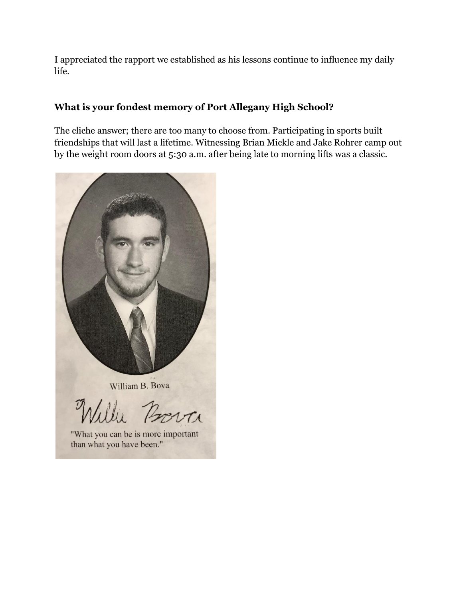I appreciated the rapport we established as his lessons continue to influence my daily life.

## **What is your fondest memory of Port Allegany High School?**

The cliche answer; there are too many to choose from. Participating in sports built friendships that will last a lifetime. Witnessing Brian Mickle and Jake Rohrer camp out by the weight room doors at 5:30 a.m. after being late to morning lifts was a classic.



William B. Bova

lli Borra

"What you can be is more important than what you have been."